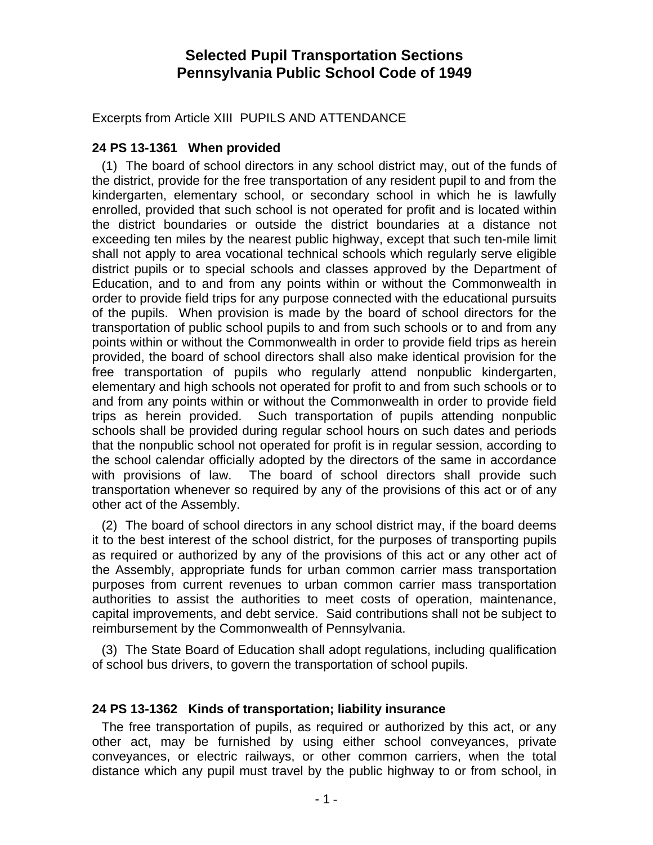# **Selected Pupil Transportation Sections Pennsylvania Public School Code of 1949**

Excerpts from Article XIII PUPILS AND ATTENDANCE

#### **24 PS 13-1361 When provided**

 (1) The board of school directors in any school district may, out of the funds of the district, provide for the free transportation of any resident pupil to and from the kindergarten, elementary school, or secondary school in which he is lawfully enrolled, provided that such school is not operated for profit and is located within the district boundaries or outside the district boundaries at a distance not exceeding ten miles by the nearest public highway, except that such ten-mile limit shall not apply to area vocational technical schools which regularly serve eligible district pupils or to special schools and classes approved by the Department of Education, and to and from any points within or without the Commonwealth in order to provide field trips for any purpose connected with the educational pursuits of the pupils. When provision is made by the board of school directors for the transportation of public school pupils to and from such schools or to and from any points within or without the Commonwealth in order to provide field trips as herein provided, the board of school directors shall also make identical provision for the free transportation of pupils who regularly attend nonpublic kindergarten, elementary and high schools not operated for profit to and from such schools or to and from any points within or without the Commonwealth in order to provide field trips as herein provided. Such transportation of pupils attending nonpublic schools shall be provided during regular school hours on such dates and periods that the nonpublic school not operated for profit is in regular session, according to the school calendar officially adopted by the directors of the same in accordance with provisions of law. The board of school directors shall provide such transportation whenever so required by any of the provisions of this act or of any other act of the Assembly.

 (2) The board of school directors in any school district may, if the board deems it to the best interest of the school district, for the purposes of transporting pupils as required or authorized by any of the provisions of this act or any other act of the Assembly, appropriate funds for urban common carrier mass transportation purposes from current revenues to urban common carrier mass transportation authorities to assist the authorities to meet costs of operation, maintenance, capital improvements, and debt service. Said contributions shall not be subject to reimbursement by the Commonwealth of Pennsylvania.

 (3) The State Board of Education shall adopt regulations, including qualification of school bus drivers, to govern the transportation of school pupils.

## **24 PS 13-1362 Kinds of transportation; liability insurance**

 The free transportation of pupils, as required or authorized by this act, or any other act, may be furnished by using either school conveyances, private conveyances, or electric railways, or other common carriers, when the total distance which any pupil must travel by the public highway to or from school, in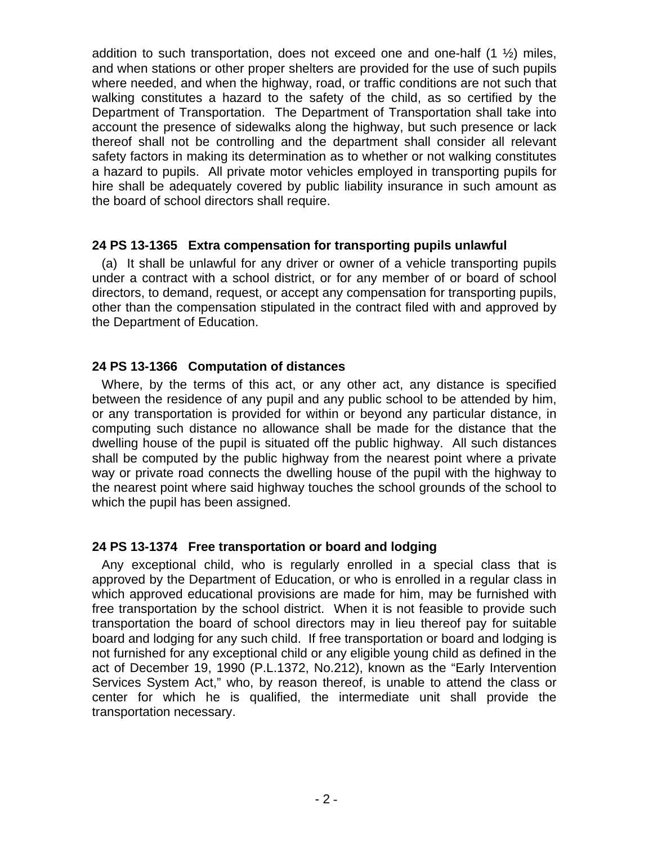addition to such transportation, does not exceed one and one-half  $(1 \frac{1}{2})$  miles, and when stations or other proper shelters are provided for the use of such pupils where needed, and when the highway, road, or traffic conditions are not such that walking constitutes a hazard to the safety of the child, as so certified by the Department of Transportation. The Department of Transportation shall take into account the presence of sidewalks along the highway, but such presence or lack thereof shall not be controlling and the department shall consider all relevant safety factors in making its determination as to whether or not walking constitutes a hazard to pupils. All private motor vehicles employed in transporting pupils for hire shall be adequately covered by public liability insurance in such amount as the board of school directors shall require.

## **24 PS 13-1365 Extra compensation for transporting pupils unlawful**

 (a) It shall be unlawful for any driver or owner of a vehicle transporting pupils under a contract with a school district, or for any member of or board of school directors, to demand, request, or accept any compensation for transporting pupils, other than the compensation stipulated in the contract filed with and approved by the Department of Education.

## **24 PS 13-1366 Computation of distances**

 Where, by the terms of this act, or any other act, any distance is specified between the residence of any pupil and any public school to be attended by him, or any transportation is provided for within or beyond any particular distance, in computing such distance no allowance shall be made for the distance that the dwelling house of the pupil is situated off the public highway. All such distances shall be computed by the public highway from the nearest point where a private way or private road connects the dwelling house of the pupil with the highway to the nearest point where said highway touches the school grounds of the school to which the pupil has been assigned.

## **24 PS 13-1374 Free transportation or board and lodging**

 Any exceptional child, who is regularly enrolled in a special class that is approved by the Department of Education, or who is enrolled in a regular class in which approved educational provisions are made for him, may be furnished with free transportation by the school district. When it is not feasible to provide such transportation the board of school directors may in lieu thereof pay for suitable board and lodging for any such child. If free transportation or board and lodging is not furnished for any exceptional child or any eligible young child as defined in the act of December 19, 1990 (P.L.1372, No.212), known as the "Early Intervention Services System Act," who, by reason thereof, is unable to attend the class or center for which he is qualified, the intermediate unit shall provide the transportation necessary.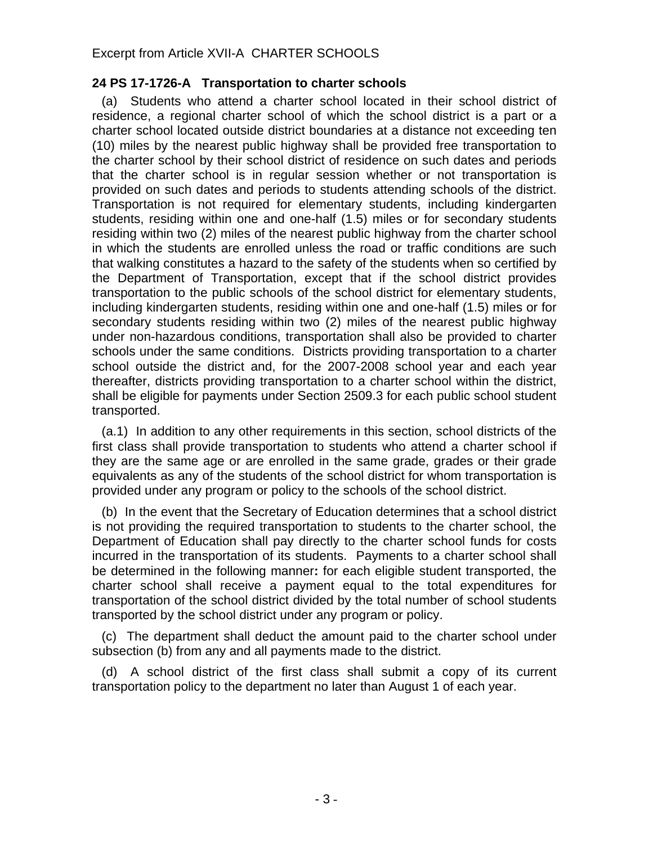## Excerpt from Article XVII-A CHARTER SCHOOLS

## **24 PS 17-1726-A Transportation to charter schools**

 (a) Students who attend a charter school located in their school district of residence, a regional charter school of which the school district is a part or a charter school located outside district boundaries at a distance not exceeding ten (10) miles by the nearest public highway shall be provided free transportation to the charter school by their school district of residence on such dates and periods that the charter school is in regular session whether or not transportation is provided on such dates and periods to students attending schools of the district. Transportation is not required for elementary students, including kindergarten students, residing within one and one-half (1.5) miles or for secondary students residing within two (2) miles of the nearest public highway from the charter school in which the students are enrolled unless the road or traffic conditions are such that walking constitutes a hazard to the safety of the students when so certified by the Department of Transportation, except that if the school district provides transportation to the public schools of the school district for elementary students, including kindergarten students, residing within one and one-half (1.5) miles or for secondary students residing within two (2) miles of the nearest public highway under non-hazardous conditions, transportation shall also be provided to charter schools under the same conditions. Districts providing transportation to a charter school outside the district and, for the 2007-2008 school year and each year thereafter, districts providing transportation to a charter school within the district, shall be eligible for payments under Section 2509.3 for each public school student transported.

 (a.1) In addition to any other requirements in this section, school districts of the first class shall provide transportation to students who attend a charter school if they are the same age or are enrolled in the same grade, grades or their grade equivalents as any of the students of the school district for whom transportation is provided under any program or policy to the schools of the school district.

 (b) In the event that the Secretary of Education determines that a school district is not providing the required transportation to students to the charter school, the Department of Education shall pay directly to the charter school funds for costs incurred in the transportation of its students. Payments to a charter school shall be determined in the following manner**:** for each eligible student transported, the charter school shall receive a payment equal to the total expenditures for transportation of the school district divided by the total number of school students transported by the school district under any program or policy.

 (c) The department shall deduct the amount paid to the charter school under subsection (b) from any and all payments made to the district.

 (d) A school district of the first class shall submit a copy of its current transportation policy to the department no later than August 1 of each year.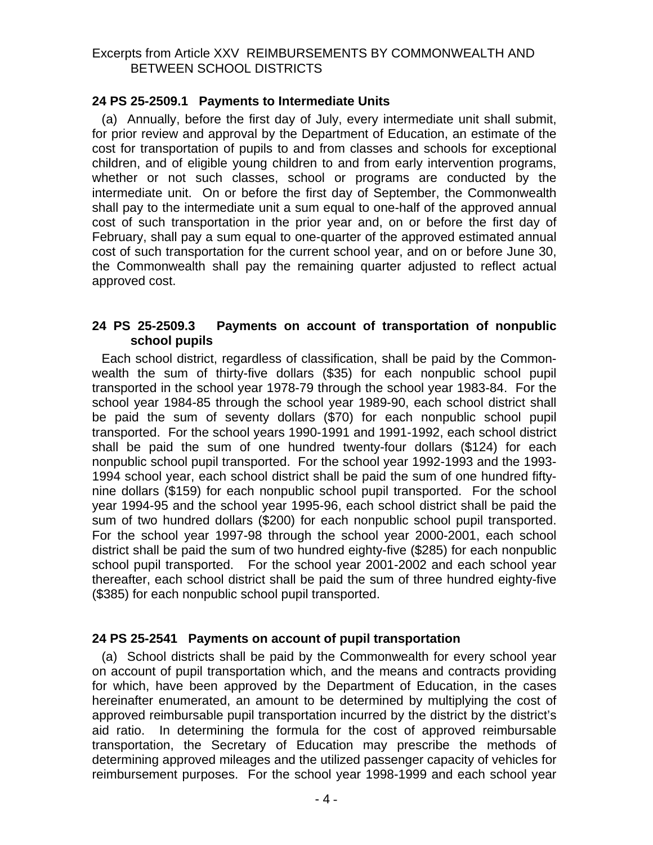## Excerpts from Article XXV REIMBURSEMENTS BY COMMONWEALTH AND BETWEEN SCHOOL DISTRICTS

## **24 PS 25-2509.1 Payments to Intermediate Units**

 (a) Annually, before the first day of July, every intermediate unit shall submit, for prior review and approval by the Department of Education, an estimate of the cost for transportation of pupils to and from classes and schools for exceptional children, and of eligible young children to and from early intervention programs, whether or not such classes, school or programs are conducted by the intermediate unit. On or before the first day of September, the Commonwealth shall pay to the intermediate unit a sum equal to one-half of the approved annual cost of such transportation in the prior year and, on or before the first day of February, shall pay a sum equal to one-quarter of the approved estimated annual cost of such transportation for the current school year, and on or before June 30, the Commonwealth shall pay the remaining quarter adjusted to reflect actual approved cost.

## **24 PS 25-2509.3 Payments on account of transportation of nonpublic school pupils**

 Each school district, regardless of classification, shall be paid by the Commonwealth the sum of thirty-five dollars (\$35) for each nonpublic school pupil transported in the school year 1978-79 through the school year 1983-84. For the school year 1984-85 through the school year 1989-90, each school district shall be paid the sum of seventy dollars (\$70) for each nonpublic school pupil transported.For the school years 1990-1991 and 1991-1992, each school district shall be paid the sum of one hundred twenty-four dollars (\$124) for each nonpublic school pupil transported. For the school year 1992-1993 and the 1993- 1994 school year, each school district shall be paid the sum of one hundred fiftynine dollars (\$159) for each nonpublic school pupil transported. For the school year 1994-95 and the school year 1995-96, each school district shall be paid the sum of two hundred dollars (\$200) for each nonpublic school pupil transported. For the school year 1997-98 through the school year 2000-2001, each school district shall be paid the sum of two hundred eighty-five (\$285) for each nonpublic school pupil transported. For the school year 2001-2002 and each school year thereafter, each school district shall be paid the sum of three hundred eighty-five (\$385) for each nonpublic school pupil transported.

## **24 PS 25-2541 Payments on account of pupil transportation**

 (a) School districts shall be paid by the Commonwealth for every school year on account of pupil transportation which, and the means and contracts providing for which, have been approved by the Department of Education, in the cases hereinafter enumerated, an amount to be determined by multiplying the cost of approved reimbursable pupil transportation incurred by the district by the district's aid ratio. In determining the formula for the cost of approved reimbursable transportation, the Secretary of Education may prescribe the methods of determining approved mileages and the utilized passenger capacity of vehicles for reimbursement purposes. For the school year 1998-1999 and each school year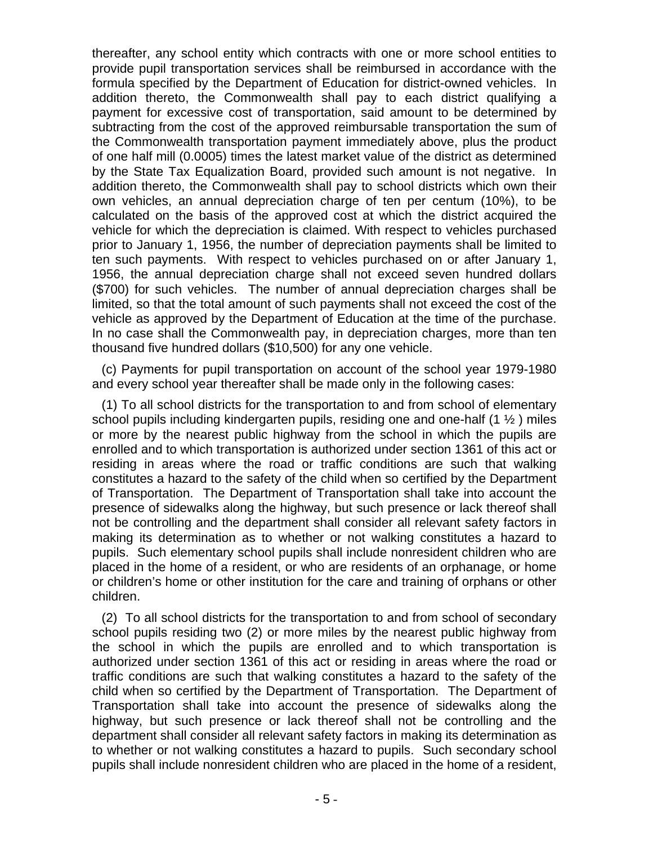thereafter, any school entity which contracts with one or more school entities to provide pupil transportation services shall be reimbursed in accordance with the formula specified by the Department of Education for district-owned vehicles. In addition thereto, the Commonwealth shall pay to each district qualifying a payment for excessive cost of transportation, said amount to be determined by subtracting from the cost of the approved reimbursable transportation the sum of the Commonwealth transportation payment immediately above, plus the product of one half mill (0.0005) times the latest market value of the district as determined by the State Tax Equalization Board, provided such amount is not negative. In addition thereto, the Commonwealth shall pay to school districts which own their own vehicles, an annual depreciation charge of ten per centum (10%), to be calculated on the basis of the approved cost at which the district acquired the vehicle for which the depreciation is claimed. With respect to vehicles purchased prior to January 1, 1956, the number of depreciation payments shall be limited to ten such payments. With respect to vehicles purchased on or after January 1, 1956, the annual depreciation charge shall not exceed seven hundred dollars (\$700) for such vehicles. The number of annual depreciation charges shall be limited, so that the total amount of such payments shall not exceed the cost of the vehicle as approved by the Department of Education at the time of the purchase. In no case shall the Commonwealth pay, in depreciation charges, more than ten thousand five hundred dollars (\$10,500) for any one vehicle.

 (c) Payments for pupil transportation on account of the school year 1979-1980 and every school year thereafter shall be made only in the following cases:

 (1) To all school districts for the transportation to and from school of elementary school pupils including kindergarten pupils, residing one and one-half  $(1 \frac{1}{2})$  miles or more by the nearest public highway from the school in which the pupils are enrolled and to which transportation is authorized under section 1361 of this act or residing in areas where the road or traffic conditions are such that walking constitutes a hazard to the safety of the child when so certified by the Department of Transportation. The Department of Transportation shall take into account the presence of sidewalks along the highway, but such presence or lack thereof shall not be controlling and the department shall consider all relevant safety factors in making its determination as to whether or not walking constitutes a hazard to pupils. Such elementary school pupils shall include nonresident children who are placed in the home of a resident, or who are residents of an orphanage, or home or children's home or other institution for the care and training of orphans or other children.

 (2) To all school districts for the transportation to and from school of secondary school pupils residing two (2) or more miles by the nearest public highway from the school in which the pupils are enrolled and to which transportation is authorized under section 1361 of this act or residing in areas where the road or traffic conditions are such that walking constitutes a hazard to the safety of the child when so certified by the Department of Transportation. The Department of Transportation shall take into account the presence of sidewalks along the highway, but such presence or lack thereof shall not be controlling and the department shall consider all relevant safety factors in making its determination as to whether or not walking constitutes a hazard to pupils. Such secondary school pupils shall include nonresident children who are placed in the home of a resident,